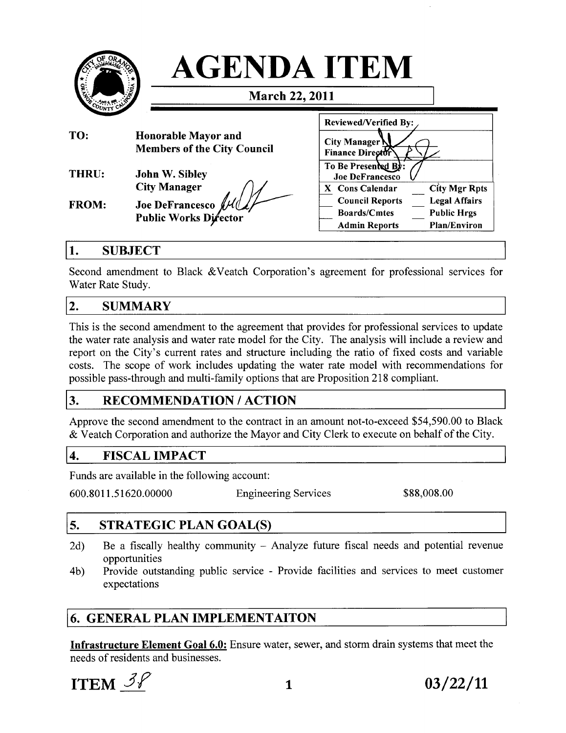

AGENDA ITEM

# **March 22, 2011**

| $\sim$ $\sigma$ <sub>NTY</sub> |                                                                                          |                                                                                |                      |  |
|--------------------------------|------------------------------------------------------------------------------------------|--------------------------------------------------------------------------------|----------------------|--|
| TO:                            | <b>Honorable Mayor and</b><br><b>Members of the City Council</b>                         | <b>Reviewed/Verified By:</b><br><b>City Manager</b><br><b>Finance Director</b> |                      |  |
| THRU:                          | <b>John W. Sibley</b>                                                                    | To Be Presented By:<br>Joe DeFrancesco                                         |                      |  |
|                                | <b>City Manager</b>                                                                      | <b>Cons Calendar</b><br>X.                                                     | <b>City Mgr Rpts</b> |  |
| <b>FROM:</b>                   | <b>Joe DeFrancesco</b><br>Public Works Difector                                          | <b>Council Reports</b>                                                         | <b>Legal Affairs</b> |  |
|                                |                                                                                          | <b>Boards/Cmtes</b>                                                            | <b>Public Hrgs</b>   |  |
|                                |                                                                                          | <b>Admin Reports</b>                                                           | <b>Plan/Environ</b>  |  |
|                                | <b>SUBJECT</b>                                                                           |                                                                                |                      |  |
| Water Rate Study.              | Second amendment to Black & Veatch Corporation's agreement for professional services for |                                                                                |                      |  |
|                                |                                                                                          |                                                                                |                      |  |

# 1. SUBJECT

# 2. SUMMARY

This is the second amendment to the agreement that provides for professional services to update the water rate analysis and water rate model for the City. The analysis will include a review and This is the second amendment to the agreement that provides for professional services to update<br>the water rate analysis and water rate model for the City. The analysis will include a review and<br>report on the City's current costs. The scope of work includes updating the water rate model with recommendations for possible pass-through and multi-family options that are Proposition 218 compliant.

# 3. RECOMMENDATION / ACTION

Approve the second amendment to the contract in an amount not-to-exceed \$54,590.00 to Black Veatch Corporation and authorize the Mayor and City Clerk to execute on behalf of the City

# 4. FISCAL IMPACT

**4. FISCAL IMPACT**<br>Funds are available in the following account:<br>600.8011.51620.00000 Engineering Services \$88,008.00

# Funds are available in the following account:<br>
600.8011.51620.00000 Enginee<br>
5. STRATEGIC PLAN GOAL(S)<br>
2d) Be a fiscally healthy community

- 2d) Be a fiscally healthy community  $-$  Analyze future fiscal needs and potential revenue opportunities
- 4b) Provide outstanding public service Provide facilities and services to meet customer expectations

# **6. GENERAL PLAN IMPLEMENTAITON**

Infrastructure Element Goal 6.0: Ensure water, sewer, and storm drain systems that meet the needs of residents and businesses **ITEM**  $\frac{3}{\sqrt{2}}$  **1** 03/22/11

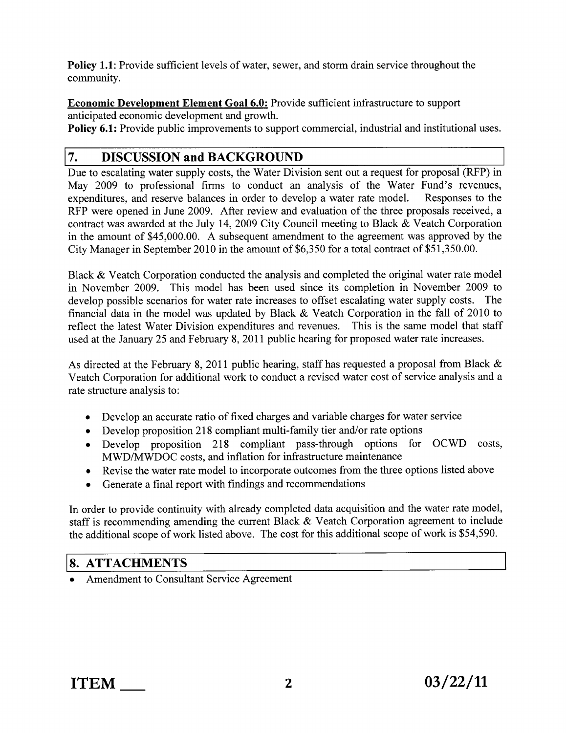Policy 1.1: Provide sufficient levels of water, sewer, and storm drain service throughout the community

Economic Development Element Goal 6.0: Provide sufficient infrastructure to support anticipated economic development and growth

Policy 6.1: Provide public improvements to support commercial, industrial and institutional uses.

# 7. DISCUSSION and BACKGROUND

Due to escalating water supply costs, the Water Division sent out a request for proposal (RFP) in May 2009 to professional firms to conduct an analysis of the Water Fund's revenues, expenditures, and reserve balances in order to develop a water rate model. Responses to the expenditures, and reserve balances in order to develop a water rate model. RFP were opened in June 2009. After review and evaluation of the three proposals received, a contract was awarded at the July 14, 2009 City Council meeting to Black  $\alpha$  Veatch Corporation RFP were opened in June 2009. After review and evaluation of the three proposals received, a contract was awarded at the July 14, 2009 City Council meeting to Black & Veatch Corporation in the amount of \$45,000.00. A subs City Manager in September 2010 in the amount of \$6,350 for a total contract of \$51,350.00.<br>City Manager in September 2010 in the amount of \$6,350 for a total contract of \$51,350.00.

Black & Veatch Corporation conducted the analysis and completed the original water rate model in November 2009. This model has been used since its completion in November 2009 to develop possible scenarios for water rate increases to offset escalating water supply costs. The financial data in the model was updated by Black  $&$  Veatch Corporation in the fall of 2010 to reflect the latest Water Division expenditures and revenues. This is the same model that staff used at the January 25 and February 8, 2011 public hearing for proposed water rate increases.

As directed at the February 8, 2011 public hearing, staff has requested a proposal from Black  $\&$ Veatch Corporation for additional work to conduct a revised water cost of service analysis and a rate structure analysis to

- Develop an accurate ratio of fixed charges and variable charges for water service
- $\bullet$  Develop proposition 218 compliant multi-family tier and/or rate options
- Develop proposition 218 compliant pass-through options for OCWD costs, MWD/MWDOC costs, and inflation for infrastructure maintenance
- Revise the water rate model to incorporate outcomes from the three options listed above
- Generate a final report with findings and recommendations

In order to provide continuity with already completed data acquisition and the water rate model staff is recommending amending the current Black  $\&$  Veatch Corporation agreement to include the additional scope of work listed above. The cost for this additional scope of work is \$54,590.

# 8. ATTACHMENTS

Amendment to Consultant Service Agreement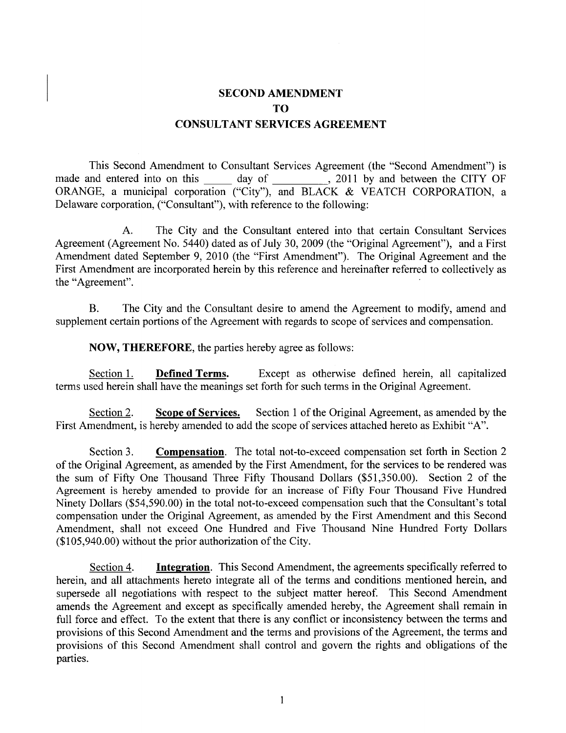# **SECOND AMENDMENT TO CONSULTANT SERVICES AGREEMENT**

This Second Amendment to Consultant Services Agreement (the "Second Amendment") is made and entered into on this day of 100 and between the CITY OF ORANGE, a municipal corporation ("City"), and BLACK & VEATCH CORPORATION, a Delaware corporation, ("Consultant"), with reference to the following:

A. The City and the Consultant entered into that certain Consultant Services Agreement (Agreement No. 5440) dated as of July 30, 2009 (the "Original Agreement"), and a First Amendment dated September 9, 2010 (the "First Amendment"). The Original Agreement and the First Amendment are incorporated herein by this reference and hereinafter referred to collectively as the "Agreement".

The City and the Consultant desire to amend the Agreement to modify, amend and **B.** supplement certain portions of the Agreement with regards to scope of services and compensation.

**NOW, THEREFORE**, the parties hereby agree as follows:

Section 1. **Defined Terms.** Except as otherwise defined herein, all capitalized terms used herein shall have the meanings set forth for such terms in the Original Agreement.

**Scope of Services.** Section 1 of the Original Agreement, as amended by the Section 2. First Amendment, is hereby amended to add the scope of services attached hereto as Exhibit "A".

**Compensation.** The total not-to-exceed compensation set forth in Section 2 Section 3. of the Original Agreement, as amended by the First Amendment, for the services to be rendered was the sum of Fifty One Thousand Three Fifty Thousand Dollars (\$51,350.00). Section 2 of the Agreement is hereby amended to provide for an increase of Fifty Four Thousand Five Hundred Ninety Dollars (\$54,590.00) in the total not-to-exceed compensation such that the Consultant's total compensation under the Original Agreement, as amended by the First Amendment and this Second Amendment, shall not exceed One Hundred and Five Thousand Nine Hundred Forty Dollars (\$105,940.00) without the prior authorization of the City.

Integration. This Second Amendment, the agreements specifically referred to Section 4. herein, and all attachments hereto integrate all of the terms and conditions mentioned herein, and supersede all negotiations with respect to the subject matter hereof. This Second Amendment amends the Agreement and except as specifically amended hereby, the Agreement shall remain in full force and effect. To the extent that there is any conflict or inconsistency between the terms and provisions of this Second Amendment and the terms and provisions of the Agreement, the terms and provisions of this Second Amendment shall control and govern the rights and obligations of the parties.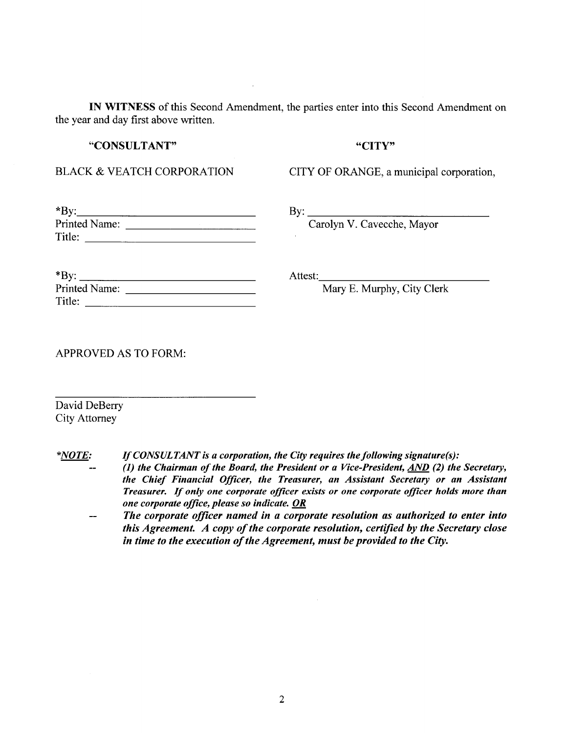IN WITNESS of this Second Amendment, the parties enter into this Second Amendment on the year and day first above written.

### "CONSULTANT"

### "CITY"

# **BLACK & VEATCH CORPORATION**

CITY OF ORANGE, a municipal corporation,

| $*$ By:              |  |
|----------------------|--|
| <b>Printed Name:</b> |  |
| Title:               |  |
|                      |  |

### By:  $\qquad \qquad$

Carolyn V. Cavecche, Mayor

Attest: Mary E. Murphy, City Clerk

APPROVED AS TO FORM:

David DeBerry **City Attorney** 

If CONSULTANT is a corporation, the City requires the following signature(s):  $*NOTE:$ 

- (1) the Chairman of the Board, the President or a Vice-President,  $\triangle ND$  (2) the Secretary, the Chief Financial Officer, the Treasurer, an Assistant Secretary or an Assistant Treasurer. If only one corporate officer exists or one corporate officer holds more than one corporate office, please so indicate. OR
- The corporate officer named in a corporate resolution as authorized to enter into this Agreement. A copy of the corporate resolution, certified by the Secretary close in time to the execution of the Agreement, must be provided to the City.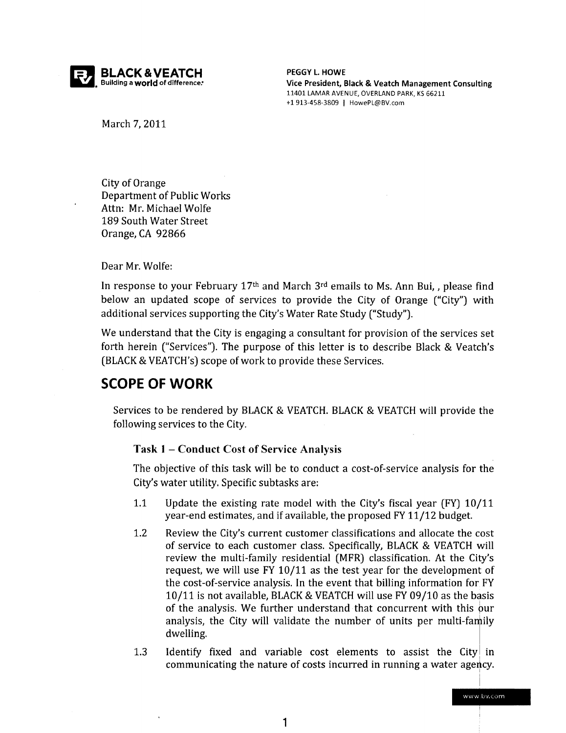

PEGGY L. HOWE Vice President, Black & Veatch Management Consulting 11401 LAMAR AVENUE, OVERLAND PARK, KS 66211 +1 913-458-3809 | HowePL@BV.com

March 7, 2011

City of Orange Department of Public Works Attn: Mr. Michael Wolfe 189 South Water Street Orange, CA 92866

Dear Mr. Wolfe:

In response to your February 17<sup>th</sup> and March 3<sup>rd</sup> emails to Ms. Ann Bui, please find below an updated scope of services to provide the City of Orange ("City") with additional services supporting the City's Water Rate Study ("Study").

We understand that the City is engaging a consultant for provision of the services set forth herein ("Services"). The purpose of this letter is to describe Black & Veatch's (BLACK & VEATCH's) scope of work to provide these Services.

# **SCOPE OF WORK**

Services to be rendered by BLACK & VEATCH. BLACK & VEATCH will provide the following services to the City.

### **Task 1-Conduct Cost of Service Analysis**

The objective of this task will be to conduct a cost-of-service analysis for the City's water utility. Specific subtasks are:

- $1.1$ Update the existing rate model with the City's fiscal year (FY) 10/11 year-end estimates, and if available, the proposed FY 11/12 budget.
- $1.2$ Review the City's current customer classifications and allocate the cost of service to each customer class. Specifically, BLACK & VEATCH will review the multi-family residential (MFR) classification. At the City's request, we will use FY 10/11 as the test year for the development of the cost-of-service analysis. In the event that billing information for FY 10/11 is not available, BLACK & VEATCH will use FY 09/10 as the basis of the analysis. We further understand that concurrent with this our analysis, the City will validate the number of units per multi-family dwelling.
- $1.3$ Identify fixed and variable cost elements to assist the City in communicating the nature of costs incurred in running a water agency.

www.bv.com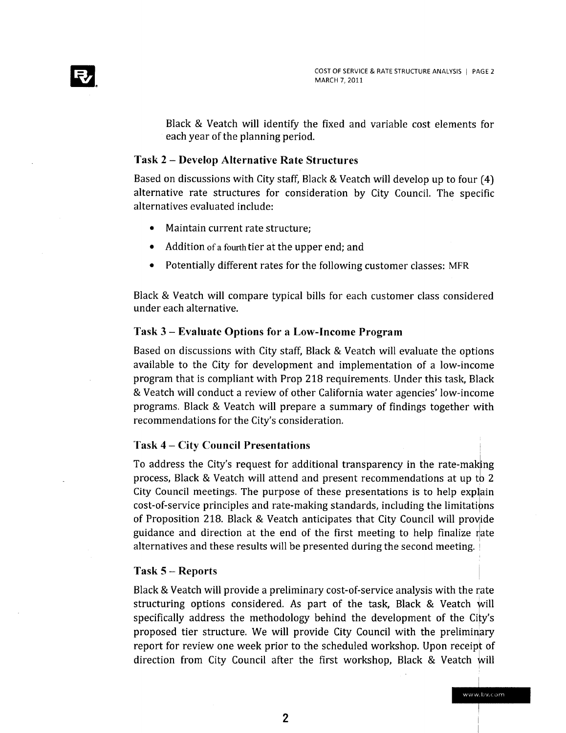Black & Veatch will identify the fixed and variable cost elements for each year of the planning period.

# **Task 2 – Develop Alternative Rate Structures**

Based on discussions with City staff, Black & Veatch will develop up to four (4) alternative rate structures for consideration by City Council. The specific alternatives evaluated include:

- Maintain current rate structure;
- $\bullet$ Addition of a fourth tier at the upper end; and
- Potentially different rates for the following customer classes: MFR  $\bullet$

Black & Veatch will compare typical bills for each customer class considered under each alternative.

### Task 3 – Evaluate Options for a Low-Income Program

Based on discussions with City staff, Black & Veatch will evaluate the options available to the City for development and implementation of a low-income program that is compliant with Prop 218 requirements. Under this task, Black & Veatch will conduct a review of other California water agencies' low-income programs. Black & Veatch will prepare a summary of findings together with recommendations for the City's consideration.

### **Task 4 – City Council Presentations**

To address the City's request for additional transparency in the rate-making process, Black & Veatch will attend and present recommendations at up to 2 City Council meetings. The purpose of these presentations is to help explain cost-of-service principles and rate-making standards, including the limitations of Proposition 218. Black & Veatch anticipates that City Council will provide guidance and direction at the end of the first meeting to help finalize rate alternatives and these results will be presented during the second meeting.

# **Task 5 - Reports**

Black & Veatch will provide a preliminary cost-of-service analysis with the rate structuring options considered. As part of the task, Black & Veatch will specifically address the methodology behind the development of the City's proposed tier structure. We will provide City Council with the preliminary report for review one week prior to the scheduled workshop. Upon receipt of direction from City Council after the first workshop, Black & Veatch will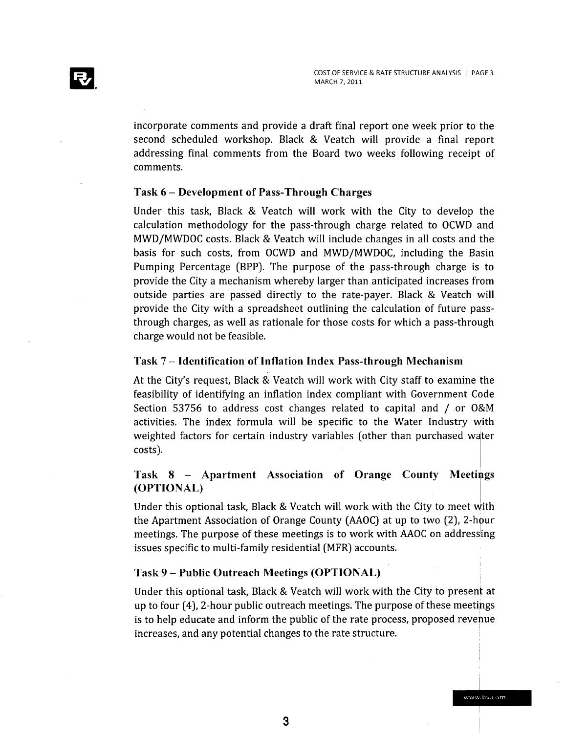incorporate comments and provide a draft final report one week prior to the second scheduled workshop. Black & Veatch will provide a final report addressing final comments from the Board two weeks following receipt of comments.

# Task 6 - Development of Pass-Through Charges

Under this task, Black & Veatch will work with the City to develop the calculation methodology for the pass-through charge related to OCWD and MWD/MWDOC costs. Black & Veatch will include changes in all costs and the basis for such costs, from OCWD and MWD/MWDOC, including the Basin Pumping Percentage (BPP). The purpose of the pass-through charge is to provide the City a mechanism whereby larger than anticipated increases from outside parties are passed directly to the rate-payer. Black & Veatch will provide the City with a spreadsheet outlining the calculation of future passthrough charges, as well as rationale for those costs for which a pass-through charge would not be feasible.

# Task 7 – Identification of Inflation Index Pass-through Mechanism

At the City's request, Black & Veatch will work with City staff to examine the feasibility of identifying an inflation index compliant with Government Code Section 53756 to address cost changes related to capital and / or O&M activities. The index formula will be specific to the Water Industry with weighted factors for certain industry variables (other than purchased water costs).

# Task 8 - Apartment Association of Orange County Meetings (OPTIONAL)

Under this optional task, Black & Veatch will work with the City to meet with the Apartment Association of Orange County (AAOC) at up to two (2), 2-hour meetings. The purpose of these meetings is to work with AAOC on addressing issues specific to multi-family residential (MFR) accounts.

# Task 9 – Public Outreach Meetings (OPTIONAL)

Under this optional task, Black & Veatch will work with the City to present at up to four (4), 2-hour public outreach meetings. The purpose of these meetings is to help educate and inform the public of the rate process, proposed revenue increases, and any potential changes to the rate structure.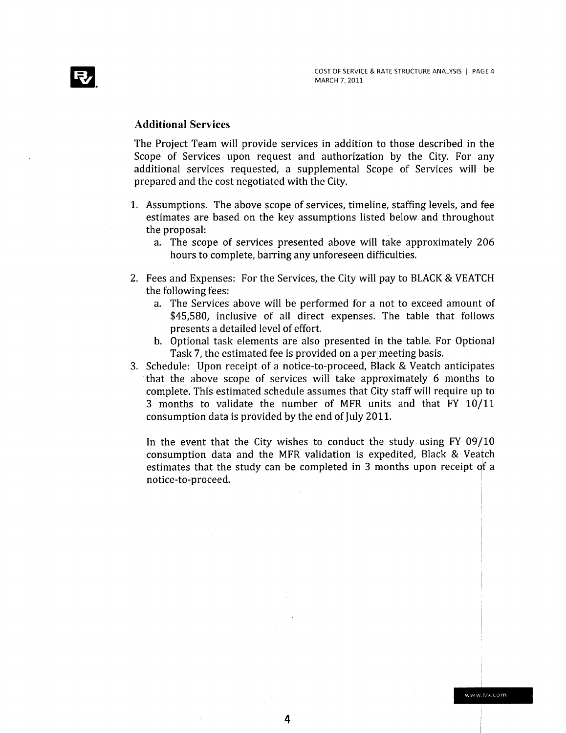

### **Additional Services**

The Project Team will provide services in addition to those described in the Scope of Services upon request and authorization by the City. For any additional services requested, a supplemental Scope of Services will be prepared and the cost negotiated with the City.

- 1. Assumptions. The above scope of services, timeline, staffing levels, and fee estimates are based on the key assumptions listed below and throughout the proposal:
	- a. The scope of services presented above will take approximately 206 hours to complete, barring any unforeseen difficulties.
- 2. Fees and Expenses: For the Services, the City will pay to BLACK & VEATCH the following fees:
	- a. The Services above will be performed for a not to exceed amount of \$45,580, inclusive of all direct expenses. The table that follows presents a detailed level of effort.
	- b. Optional task elements are also presented in the table. For Optional Task 7, the estimated fee is provided on a per meeting basis.
- 3. Schedule: Upon receipt of a notice-to-proceed, Black & Veatch anticipates that the above scope of services will take approximately 6 months to complete. This estimated schedule assumes that City staff will require up to 3 months to validate the number of MFR units and that FY 10/11 consumption data is provided by the end of July 2011.

In the event that the City wishes to conduct the study using FY 09/10 consumption data and the MFR validation is expedited, Black & Veatch estimates that the study can be completed in 3 months upon receipt of a notice-to-proceed.